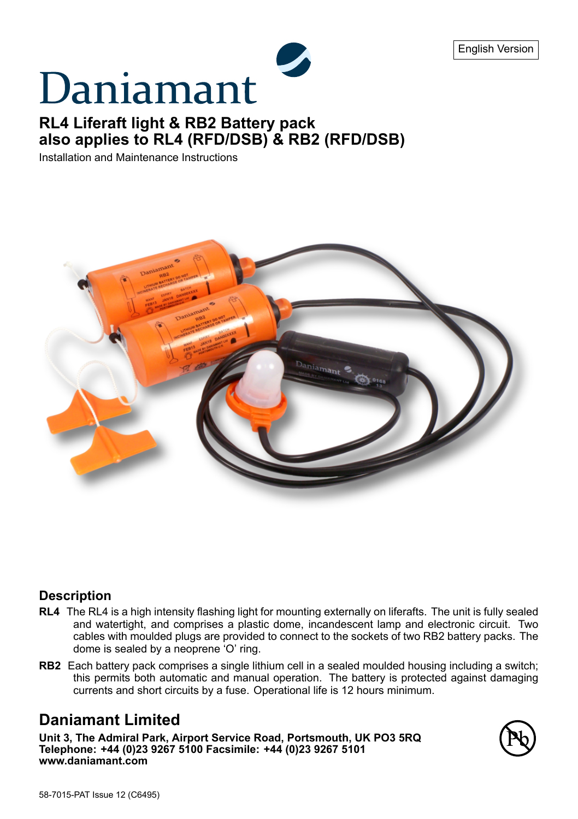# Daniamant

## **RL4 Liferaft light & RB2 Battery pack also applies to RL4 (RFD/DSB) & RB2 (RFD/DSB)**

Installation and Maintenance Instructions



#### **Description**

- **RL4** The RL4 is a high intensity flashing light for mounting externally on liferafts. The unit is fully sealed and watertight, and comprises a plastic dome, incandescent lamp and electronic circuit. Two cables with moulded plugs are provided to connect to the sockets of two RB2 battery packs. The dome is sealed by a neoprene 'O' ring.
- **RB2** Each battery pack comprises a single lithium cell in a sealed moulded housing including a switch; this permits both automatic and manual operation. The battery is protected against damaging currents and short circuits by a fuse. Operational life is 12 hours minimum.

## **Daniamant Limited**

**Unit 3, The Admiral Park, Airport Service Road, Portsmouth, UK PO3 5RQ Telephone: +44 (0)23 9267 5100 Facsimile: +44 (0)23 9267 5101 www.daniamant.com**

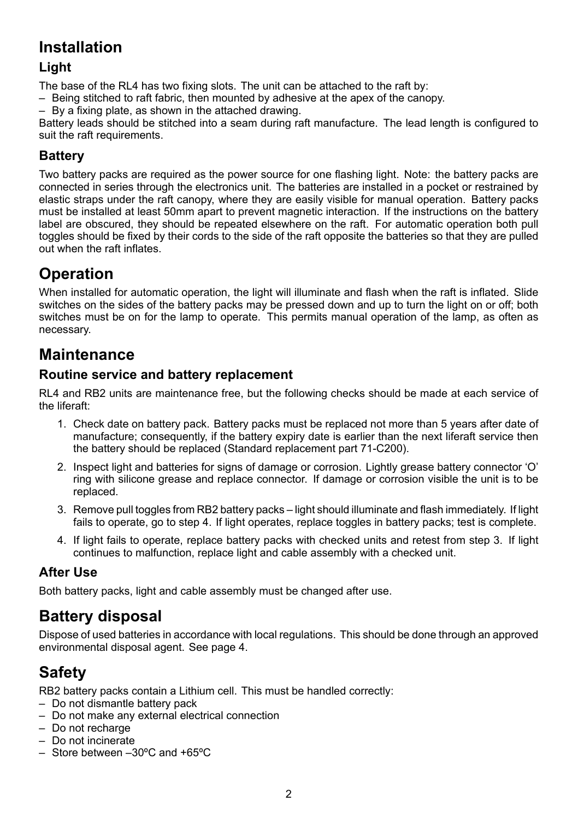## **Installation**

## **Light**

The base of the RL4 has two fixing slots. The unit can be attached to the raft by:

– Being stitched to raft fabric, then mounted by adhesive at the apex of the canopy.

– By a fixing plate, as shown in the attached drawing.

Battery leads should be stitched into a seam during raft manufacture. The lead length is configured to suit the raft requirements.

### **Battery**

Two battery packs are required as the power source for one flashing light. Note: the battery packs are connected in series through the electronics unit. The batteries are installed in a pocket or restrained by elastic straps under the raft canopy, where they are easily visible for manual operation. Battery packs must be installed at least 50mm apart to prevent magnetic interaction. If the instructions on the battery label are obscured, they should be repeated elsewhere on the raft. For automatic operation both pull toggles should be fixed by their cords to the side of the raft opposite the batteries so that they are pulled out when the raft inflates.

## **Operation**

When installed for automatic operation, the light will illuminate and flash when the raft is inflated. Slide switches on the sides of the battery packs may be pressed down and up to turn the light on or off; both switches must be on for the lamp to operate. This permits manual operation of the lamp, as often as necessary.

## **Maintenance**

#### **Routine service and battery replacement**

RL4 and RB2 units are maintenance free, but the following checks should be made at each service of the liferaft:

- 1. Check date on battery pack. Battery packs must be replaced not more than 5 years after date of manufacture; consequently, if the battery expiry date is earlier than the next liferaft service then the battery should be replaced (Standard replacement part 71-C200).
- 2. Inspect light and batteries for signs of damage or corrosion. Lightly grease battery connector 'O' ring with silicone grease and replace connector. If damage or corrosion visible the unit is to be replaced.
- 3. Remove pull toggles from RB2 battery packs light should illuminate and flash immediately. If light fails to operate, go to step 4. If light operates, replace toggles in battery packs; test is complete.
- 4. If light fails to operate, replace battery packs with checked units and retest from step 3. If light continues to malfunction, replace light and cable assembly with a checked unit.

#### **After Use**

Both battery packs, light and cable assembly must be changed after use.

## **Battery disposal**

Dispose of used batteries in accordance with local regulations. This should be done through an approved environmental disposal agent. See page 4.

# **Safety**

RB2 battery packs contain a Lithium cell. This must be handled correctly:

- Do not dismantle battery pack
- Do not make any external electrical connection
- Do not recharge
- Do not incinerate
- Store between –30ºC and +65ºC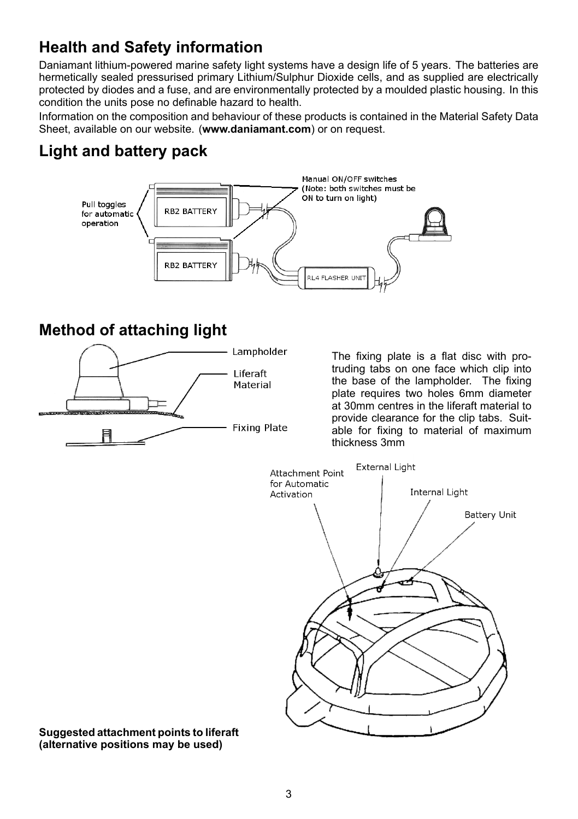# **Health and Safety information**

Daniamant lithium-powered marine safety light systems have a design life of 5 years. The batteries are hermetically sealed pressurised primary Lithium/Sulphur Dioxide cells, and as supplied are electrically protected by diodes and a fuse, and are environmentally protected by a moulded plastic housing. In this condition the units pose no definable hazard to health.

Information on the composition and behaviour of these products is contained in the Material Safety Data Sheet, available on our website. (**www.daniamant.com**) or on request.

# **Light and battery pack**



## **Method of attaching light**